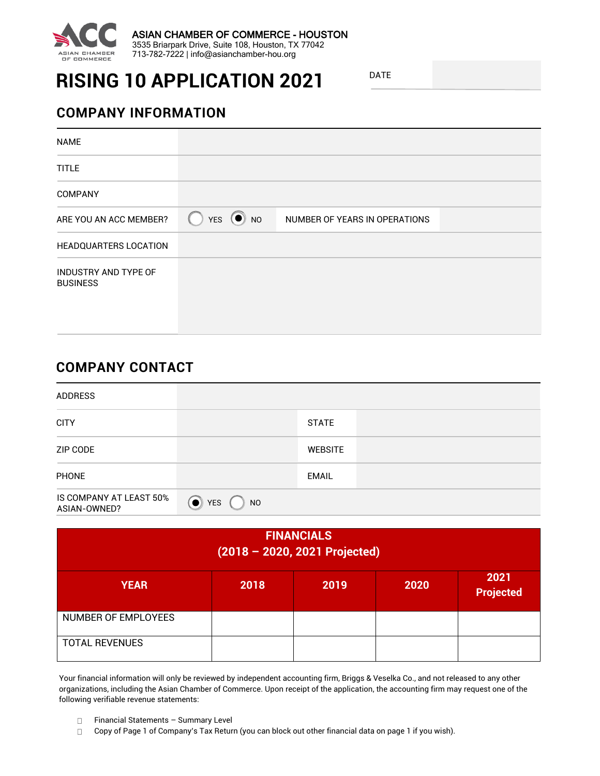

# **RISING 10 APPLICATION 2021**

DATE

## **COMPANY INFORMATION**

| <b>NAME</b>                             |         |                               |  |
|-----------------------------------------|---------|-------------------------------|--|
| <b>TITLE</b>                            |         |                               |  |
| <b>COMPANY</b>                          |         |                               |  |
| ARE YOU AN ACC MEMBER?                  | YES ONO | NUMBER OF YEARS IN OPERATIONS |  |
| <b>HEADQUARTERS LOCATION</b>            |         |                               |  |
| INDUSTRY AND TYPE OF<br><b>BUSINESS</b> |         |                               |  |

### **COMPANY CONTACT**

| <b>ADDRESS</b>                          |                            |                |  |
|-----------------------------------------|----------------------------|----------------|--|
| <b>CITY</b>                             |                            | <b>STATE</b>   |  |
| ZIP CODE                                |                            | <b>WEBSITE</b> |  |
| <b>PHONE</b>                            |                            | <b>EMAIL</b>   |  |
| IS COMPANY AT LEAST 50%<br>ASIAN-OWNED? | $\bullet$ YES<br><b>NO</b> |                |  |

| <b>FINANCIALS</b><br>$(2018 - 2020, 2021$ Projected) |      |      |      |                          |
|------------------------------------------------------|------|------|------|--------------------------|
| <b>YEAR</b>                                          | 2018 | 2019 | 2020 | 2021<br><b>Projected</b> |
| NUMBER OF EMPLOYEES                                  |      |      |      |                          |
| <b>TOTAL REVENUES</b>                                |      |      |      |                          |

Your financial information will only be reviewed by independent accounting firm, Briggs & Veselka Co., and not released to any other organizations, including the Asian Chamber of Commerce. Upon receipt of the application, the accounting firm may request one of the following verifiable revenue statements:

 $\Box$ Financial Statements – Summary Level

 $\Box$ Copy of Page 1 of Company's Tax Return (you can block out other financial data on page 1 if you wish).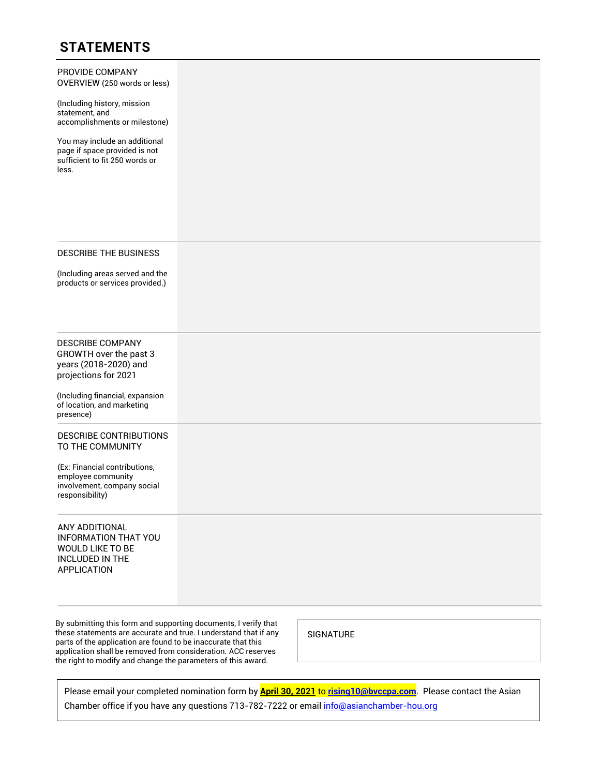# **STATEMENTS**

| PROVIDE COMPANY<br>OVERVIEW (250 words or less)                                                            |  |
|------------------------------------------------------------------------------------------------------------|--|
| (Including history, mission<br>statement, and<br>accomplishments or milestone)                             |  |
| You may include an additional<br>page if space provided is not<br>sufficient to fit 250 words or<br>less.  |  |
| <b>DESCRIBE THE BUSINESS</b><br>(Including areas served and the<br>products or services provided.)         |  |
| <b>DESCRIBE COMPANY</b><br>GROWTH over the past 3<br>years (2018-2020) and<br>projections for 2021         |  |
| (Including financial, expansion<br>of location, and marketing<br>presence)                                 |  |
| DESCRIBE CONTRIBUTIONS<br>TO THE COMMUNITY                                                                 |  |
| (Ex: Financial contributions,<br>employee community<br>involvement, company social<br>responsibility)      |  |
| ANY ADDITIONAL<br><b>INFORMATION THAT YOU</b><br>WOULD LIKE TO BE<br>INCLUDED IN THE<br><b>APPLICATION</b> |  |
| By submitting this form and supporting documents, I verify that                                            |  |

Please email your completed nomination form by **April 30, 2021** to **[rising10@bvccpa.com](mailto:rising10@bvccpa.com)**. Please contact the Asian Chamber office if you have any questions 713-782-7222 or email info@asianchamber-hou.org

these statements are accurate and true. I understand that if any parts of the application are found to be inaccurate that this application shall be removed from consideration. ACC reserves the right to modify and change the parameters of this award.

SIGNATURE